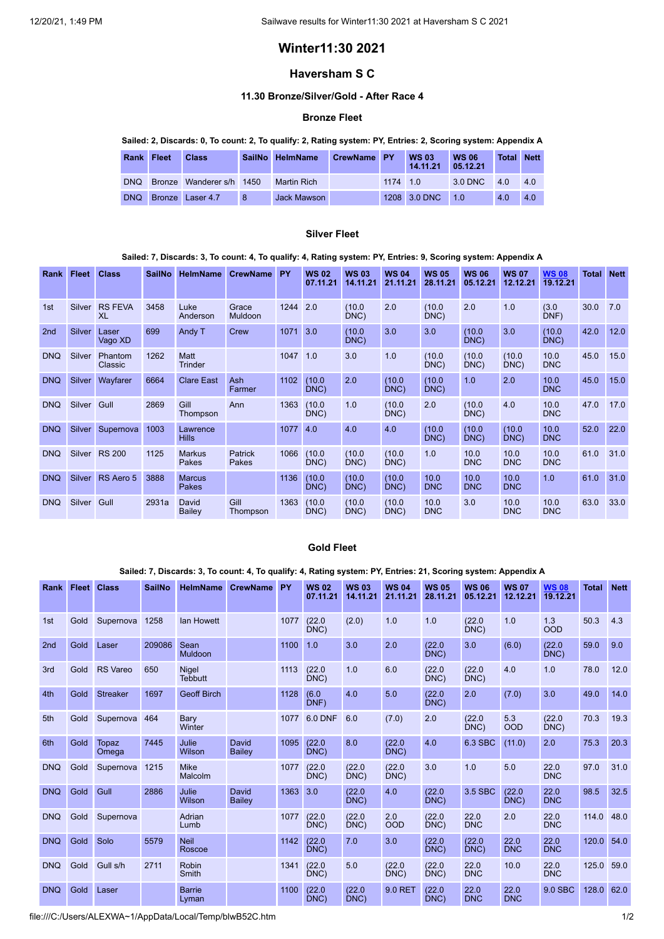# **Winter11:30 2021**

# **Haversham S C**

## **11.30 Bronze/Silver/Gold - After Race 4**

### **Bronze Fleet**

## Sailed: 2, Discards: 0, To count: 2, To qualify: 2, Rating system: PY, Entries: 2, Scoring system: Appendix A

| Rank Fleet | <b>Class</b>             |    | SailNo HelmName | CrewName PY |          | <b>WS 03</b><br>14.11.21 | <b>WS 06</b><br>05.12.21 | <b>Total Nett</b> |     |
|------------|--------------------------|----|-----------------|-------------|----------|--------------------------|--------------------------|-------------------|-----|
| <b>DNQ</b> | Bronze Wanderer s/h 1450 |    | Martin Rich     |             | 1174 1.0 |                          | 3.0 DNC                  | 4 Q               | 4.0 |
| <b>DNQ</b> | Bronze Laser 4.7         | -8 | Jack Mawson     |             |          | 1208 3.0 DNC             | 10                       | 4.0               | 4.0 |

#### **Silver Fleet**

#### Sailed: 7, Discards: 3, To count: 4, To qualify: 4, Rating system: PY, Entries: 9, Scoring system: Appendix A

| Rank            | Fleet         | <b>Class</b>         | <b>SailNo</b> | <b>HelmName</b>               | <b>CrewName</b>         | <b>PY</b> | <b>WS 02</b><br>07.11.21 | <b>WS03</b><br>14.11.21 | <b>WS 04</b><br>21.11.21 | <b>WS 05</b><br>28.11.21 | <b>WS 06</b><br>05.12.21 | <b>WS 07</b><br>12.12.21 | <b>WS08</b><br>19.12.21 | <b>Total</b> | <b>Nett</b> |
|-----------------|---------------|----------------------|---------------|-------------------------------|-------------------------|-----------|--------------------------|-------------------------|--------------------------|--------------------------|--------------------------|--------------------------|-------------------------|--------------|-------------|
| 1st             | Silver        | <b>RS FEVA</b><br>XL | 3458          | Luke<br>Anderson              | Grace<br><b>Muldoon</b> | 1244      | 2.0                      | (10.0)<br>DNC)          | 2.0                      | (10.0)<br>DNC)           | 2.0                      | 1.0                      | (3.0)<br>DNF)           | 30.0         | 7.0         |
| 2 <sub>nd</sub> | Silver        | Laser<br>Vago XD     | 699           | Andy T                        | Crew                    | 1071      | 3.0                      | (10.0)<br>DNC           | 3.0                      | 3.0                      | (10.0)<br>DNC)           | 3.0                      | (10.0)<br>DNC           | 42.0         | 12.0        |
| <b>DNQ</b>      | Silver        | Phantom<br>Classic   | 1262          | <b>Matt</b><br><b>Trinder</b> |                         | 1047      | 1.0                      | 3.0                     | 1.0                      | (10.0)<br>DNC)           | (10.0)<br>DNC)           | (10.0)<br>DNC)           | 10.0<br><b>DNC</b>      | 45.0         | 15.0        |
| <b>DNQ</b>      | Silver        | Wayfarer             | 6664          | <b>Clare East</b>             | Ash<br>Farmer           | 1102      | (10.0)<br>DNC)           | 2.0                     | (10.0)<br>DNC)           | (10.0)<br>DNC)           | 1.0                      | 2.0                      | 10.0<br><b>DNC</b>      | 45.0         | 15.0        |
| <b>DNQ</b>      | Silver        | Gull                 | 2869          | Gill<br>Thompson              | Ann                     | 1363      | (10.0)<br>DNC)           | 1.0                     | (10.0)<br>DNC)           | 2.0                      | (10.0)<br>DNC)           | 4.0                      | 10.0<br><b>DNC</b>      | 47.0         | 17.0        |
| <b>DNQ</b>      | <b>Silver</b> | Supernova            | 1003          | Lawrence<br><b>Hills</b>      |                         | 1077      | 4.0                      | 4.0                     | 4.0                      | (10.0)<br>DNC)           | (10.0)<br>DNC            | (10.0)<br>DNC)           | 10.0<br><b>DNC</b>      | 52.0         | 22.0        |
| <b>DNQ</b>      | Silver        | <b>RS 200</b>        | 1125          | <b>Markus</b><br>Pakes        | Patrick<br>Pakes        | 1066      | (10.0)<br>DNC)           | (10.0)<br>DNC)          | (10.0)<br>DNC)           | 1.0                      | 10.0<br><b>DNC</b>       | 10.0<br><b>DNC</b>       | 10.0<br><b>DNC</b>      | 61.0         | 31.0        |
| <b>DNQ</b>      | <b>Silver</b> | RS Aero 5            | 3888          | <b>Marcus</b><br>Pakes        |                         | 1136      | (10.0)<br>DNC)           | (10.0)<br>DNC)          | (10.0)<br>DNC)           | 10.0<br><b>DNC</b>       | 10.0<br><b>DNC</b>       | 10.0<br><b>DNC</b>       | 1.0                     | 61.0         | 31.0        |
| <b>DNQ</b>      | Silver        | Gull                 | 2931a         | David<br>Bailey               | Gill<br>Thompson        | 1363      | (10.0)<br>DNC)           | (10.0)<br>DNC)          | (10.0)<br>DNC)           | 10.0<br><b>DNC</b>       | 3.0                      | 10.0<br><b>DNC</b>       | 10.0<br><b>DNC</b>      | 63.0         | 33.0        |

# **Gold Fleet**

### Sailed: 7, Discards: 3, To count: 4, To qualify: 4, Rating system: PY, Entries: 21, Scoring system: Appendix A

| Rank            | <b>Fleet</b> | <b>Class</b>    | <b>SailNo</b> | <b>HelmName</b>         | <b>CrewName</b>        | PY   | <b>WS02</b><br>07.11.21 | <b>WS03</b><br>14.11.21 | <b>WS04</b><br>21.11.21 | <b>WS 05</b><br>28.11.21 | <b>WS 06</b><br>05.12.21 | <b>WS 07</b><br>12.12.21 | <b>WS08</b><br>19.12.21 | <b>Total</b> | <b>Nett</b> |
|-----------------|--------------|-----------------|---------------|-------------------------|------------------------|------|-------------------------|-------------------------|-------------------------|--------------------------|--------------------------|--------------------------|-------------------------|--------------|-------------|
| 1st             | Gold         | Supernova       | 1258          | lan Howett              |                        | 1077 | (22.0)<br>DNC)          | (2.0)                   | 1.0                     | 1.0                      | (22.0)<br>DNC)           | 1.0                      | 1.3<br><b>OOD</b>       | 50.3         | 4.3         |
| 2 <sub>nd</sub> | Gold         | Laser           | 209086        | Sean<br>Muldoon         |                        | 1100 | 1.0                     | 3.0                     | 2.0                     | (22.0)<br>DNC)           | 3.0                      | (6.0)                    | (22.0)<br>DNC           | 59.0         | 9.0         |
| 3rd             | Gold         | <b>RS Vareo</b> | 650           | Nigel<br><b>Tebbutt</b> |                        | 1113 | (22.0)<br>DNC           | 1.0                     | 6.0                     | (22.0)<br>DNC)           | (22.0)<br>DNC            | 4.0                      | 1.0                     | 78.0         | 12.0        |
| 4th             | Gold         | <b>Streaker</b> | 1697          | <b>Geoff Birch</b>      |                        | 1128 | (6.0)<br>DNF)           | 4.0                     | 5.0                     | (22.0)<br>DNC)           | 2.0                      | (7.0)                    | 3.0                     | 49.0         | 14.0        |
| 5th             | Gold         | Supernova       | 464           | Bary<br>Winter          |                        | 1077 | <b>6.0 DNF</b>          | 6.0                     | (7.0)                   | 2.0                      | (22.0)<br>DNC)           | 5.3<br><b>OOD</b>        | (22.0)<br>DNC)          | 70.3         | 19.3        |
| 6th             | Gold         | Topaz<br>Omega  | 7445          | Julie<br>Wilson         | <b>David</b><br>Bailey | 1095 | (22.0)<br>DNC)          | 8.0                     | (22.0)<br>DNC)          | 4.0                      | 6.3 SBC                  | (11.0)                   | 2.0                     | 75.3         | 20.3        |
| <b>DNQ</b>      | Gold         | Supernova       | 1215          | <b>Mike</b><br>Malcolm  |                        | 1077 | (22.0)<br>DNC)          | (22.0)<br>DNC)          | (22.0)<br>DNC           | 3.0                      | 1.0                      | 5.0                      | 22.0<br><b>DNC</b>      | 97.0         | 31.0        |
| <b>DNQ</b>      | Gold         | Gull            | 2886          | Julie<br>Wilson         | David<br>Bailey        | 1363 | 3.0                     | (22.0)<br>DNC)          | 4.0                     | (22.0)<br>DNC)           | 3.5 SBC                  | (22.0)<br>DNC)           | 22.0<br><b>DNC</b>      | 98.5         | 32.5        |
| <b>DNQ</b>      | Gold         | Supernova       |               | Adrian<br>Lumb          |                        | 1077 | (22.0)<br>DNC)          | (22.0)<br>DNC)          | 2.0<br>OOD              | (22.0)<br>DNC)           | 22.0<br><b>DNC</b>       | 2.0                      | 22.0<br><b>DNC</b>      | 114.0        | 48.0        |
| <b>DNQ</b>      | Gold         | Solo            | 5579          | <b>Neil</b><br>Roscoe   |                        | 1142 | (22.0)<br>DNC)          | 7.0                     | 3.0                     | (22.0)<br>DNC)           | (22.0)<br>DNC)           | 22.0<br><b>DNC</b>       | 22.0<br><b>DNC</b>      | 120.0        | 54.0        |
| <b>DNQ</b>      | Gold         | Gull s/h        | 2711          | Robin<br>Smith          |                        | 1341 | (22.0)<br>DNC)          | 5.0                     | (22.0)<br>DNC           | (22.0)<br>DNC)           | 22.0<br><b>DNC</b>       | 10.0                     | 22.0<br><b>DNC</b>      | 125.0        | 59.0        |
| <b>DNQ</b>      | Gold         | Laser           |               | <b>Barrie</b><br>Lyman  |                        | 1100 | (22.0)<br>DNC)          | (22.0)<br>DNC)          | 9.0 RET                 | (22.0)<br>DNC)           | 22.0<br><b>DNC</b>       | 22.0<br><b>DNC</b>       | 9.0 SBC                 | 128.0        | 62.0        |

file:///C:/Users/ALEXWA~1/AppData/Local/Temp/blwB52C.htm 1/2